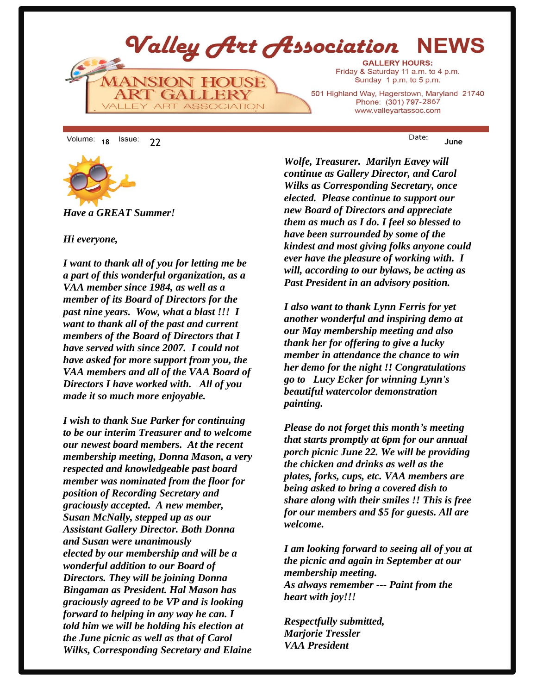

**<sup>18</sup>** 22 **June**



*Have a GREAT Summer!*

#### *Hi everyone,*

*I want to thank all of you for letting me be a part of this wonderful organization, as a VAA member since 1984, as well as a member of its Board of Directors for the past nine years. Wow, what a blast !!! I want to thank all of the past and current members of the Board of Directors that I have served with since 2007. I could not have asked for more support from you, the VAA members and all of the VAA Board of Directors I have worked with. All of you made it so much more enjoyable.* 

*I wish to thank Sue Parker for continuing to be our interim Treasurer and to welcome our newest board members. At the recent membership meeting, Donna Mason, a very respected and knowledgeable past board member was nominated from the floor for position of Recording Secretary and graciously accepted. A new member, Susan McNally, stepped up as our Assistant Gallery Director. Both Donna and Susan were unanimously elected by our membership and will be a wonderful addition to our Board of Directors. They will be joining Donna Bingaman as President. Hal Mason has graciously agreed to be VP and is looking forward to helping in any way he can. I told him we will be holding his election at the June picnic as well as that of Carol Wilks, Corresponding Secretary and Elaine* 

*Wolfe, Treasurer. Marilyn Eavey will continue as Gallery Director, and Carol Wilks as Corresponding Secretary, once elected. Please continue to support our new Board of Directors and appreciate them as much as I do. I feel so blessed to have been surrounded by some of the kindest and most giving folks anyone could ever have the pleasure of working with. I will, according to our bylaws, be acting as Past President in an advisory position.* 

*I also want to thank Lynn Ferris for yet another wonderful and inspiring demo at our May membership meeting and also thank her for offering to give a lucky member in attendance the chance to win her demo for the night !! Congratulations go to Lucy Ecker for winning Lynn's beautiful watercolor demonstration painting.*

*Please do not forget this month's meeting that starts promptly at 6pm for our annual porch picnic June 22. We will be providing the chicken and drinks as well as the plates, forks, cups, etc. VAA members are being asked to bring a covered dish to share along with their smiles !! This is free for our members and \$5 for guests. All are welcome.*

*I am looking forward to seeing all of you at the picnic and again in September at our membership meeting. As always remember --- Paint from the heart with joy!!!*

*Respectfully submitted, Marjorie Tressler VAA President*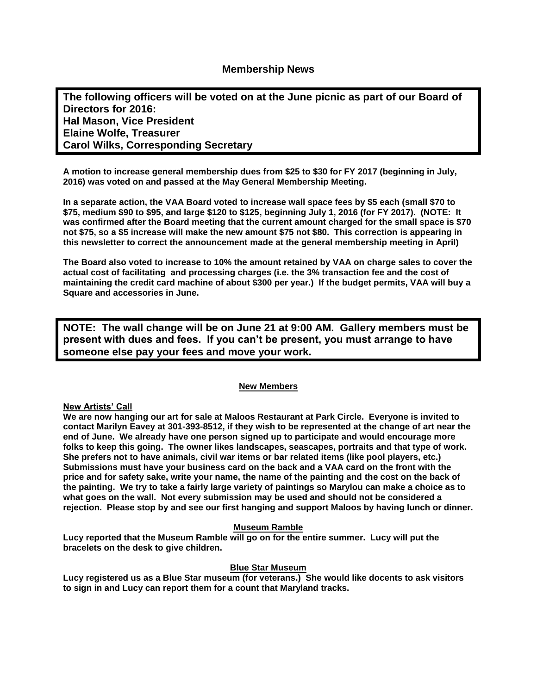**The following officers will be voted on at the June picnic as part of our Board of Directors for 2016: Hal Mason, Vice President Elaine Wolfe, Treasurer Carol Wilks, Corresponding Secretary**

**A motion to increase general membership dues from \$25 to \$30 for FY 2017 (beginning in July, 2016) was voted on and passed at the May General Membership Meeting.**

**In a separate action, the VAA Board voted to increase wall space fees by \$5 each (small \$70 to \$75, medium \$90 to \$95, and large \$120 to \$125, beginning July 1, 2016 (for FY 2017). (NOTE: It was confirmed after the Board meeting that the current amount charged for the small space is \$70 not \$75, so a \$5 increase will make the new amount \$75 not \$80. This correction is appearing in this newsletter to correct the announcement made at the general membership meeting in April)** 

**The Board also voted to increase to 10% the amount retained by VAA on charge sales to cover the actual cost of facilitating and processing charges (i.e. the 3% transaction fee and the cost of maintaining the credit card machine of about \$300 per year.) If the budget permits, VAA will buy a Square and accessories in June.** 

**NOTE: The wall change will be on June 21 at 9:00 AM. Gallery members must be present with dues and fees. If you can't be present, you must arrange to have someone else pay your fees and move your work.**

#### **New Members**

#### **New Artists' Call**

**We are now hanging our art for sale at Maloos Restaurant at Park Circle. Everyone is invited to contact Marilyn Eavey at 301-393-8512, if they wish to be represented at the change of art near the end of June. We already have one person signed up to participate and would encourage more folks to keep this going. The owner likes landscapes, seascapes, portraits and that type of work. She prefers not to have animals, civil war items or bar related items (like pool players, etc.) Submissions must have your business card on the back and a VAA card on the front with the price and for safety sake, write your name, the name of the painting and the cost on the back of the painting. We try to take a fairly large variety of paintings so Marylou can make a choice as to what goes on the wall. Not every submission may be used and should not be considered a rejection. Please stop by and see our first hanging and support Maloos by having lunch or dinner.**

#### **Museum Ramble**

**Lucy reported that the Museum Ramble will go on for the entire summer. Lucy will put the bracelets on the desk to give children.** 

#### **Blue Star Museum**

**Lucy registered us as a Blue Star museum (for veterans.) She would like docents to ask visitors to sign in and Lucy can report them for a count that Maryland tracks.**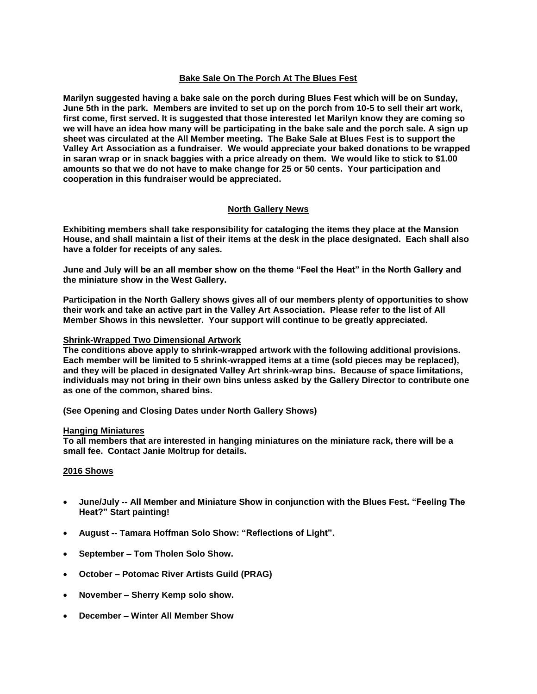#### **Bake Sale On The Porch At The Blues Fest**

**Marilyn suggested having a bake sale on the porch during Blues Fest which will be on Sunday, June 5th in the park. Members are invited to set up on the porch from 10-5 to sell their art work, first come, first served. It is suggested that those interested let Marilyn know they are coming so we will have an idea how many will be participating in the bake sale and the porch sale. A sign up sheet was circulated at the All Member meeting. The Bake Sale at Blues Fest is to support the Valley Art Association as a fundraiser. We would appreciate your baked donations to be wrapped in saran wrap or in snack baggies with a price already on them. We would like to stick to \$1.00 amounts so that we do not have to make change for 25 or 50 cents. Your participation and cooperation in this fundraiser would be appreciated.**

#### **North Gallery News**

**Exhibiting members shall take responsibility for cataloging the items they place at the Mansion House, and shall maintain a list of their items at the desk in the place designated. Each shall also have a folder for receipts of any sales.** 

**June and July will be an all member show on the theme "Feel the Heat" in the North Gallery and the miniature show in the West Gallery.**

**Participation in the North Gallery shows gives all of our members plenty of opportunities to show their work and take an active part in the Valley Art Association. Please refer to the list of All Member Shows in this newsletter. Your support will continue to be greatly appreciated.**

#### **Shrink-Wrapped Two Dimensional Artwork**

**The conditions above apply to shrink-wrapped artwork with the following additional provisions. Each member will be limited to 5 shrink-wrapped items at a time (sold pieces may be replaced), and they will be placed in designated Valley Art shrink-wrap bins. Because of space limitations, individuals may not bring in their own bins unless asked by the Gallery Director to contribute one as one of the common, shared bins.**

**(See Opening and Closing Dates under North Gallery Shows)**

#### **Hanging Miniatures**

**To all members that are interested in hanging miniatures on the miniature rack, there will be a small fee. Contact Janie Moltrup for details.**

#### **2016 Shows**

- **June/July -- All Member and Miniature Show in conjunction with the Blues Fest. "Feeling The Heat?" Start painting!**
- **August -- Tamara Hoffman Solo Show: "Reflections of Light".**
- **September – Tom Tholen Solo Show.**
- **October – Potomac River Artists Guild (PRAG)**
- **November – Sherry Kemp solo show.**
- **December – Winter All Member Show**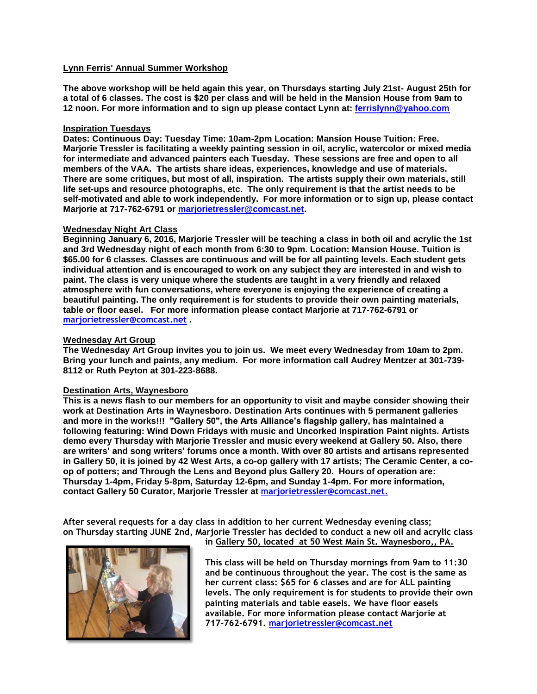#### **Lynn Ferris' Annual Summer Workshop**

**The above workshop will be held again this year, on Thursdays starting July 21st- August 25th for a total of 6 classes. The cost is \$20 per class and will be held in the Mansion House from 9am to 12 noon. For more information and to sign up please contact Lynn at: [ferrislynn@yahoo.com](mailto:ferrislynn@yahoo.com)**

#### **Inspiration Tuesdays**

**Dates: Continuous Day: Tuesday Time: 10am-2pm Location: Mansion House Tuition: Free. Marjorie Tressler is facilitating a weekly painting session in oil, acrylic, watercolor or mixed media for intermediate and advanced painters each Tuesday. These sessions are free and open to all members of the VAA. The artists share ideas, experiences, knowledge and use of materials. There are some critiques, but most of all, inspiration. The artists supply their own materials, still life set-ups and resource photographs, etc. The only requirement is that the artist needs to be self-motivated and able to work independently. For more information or to sign up, please contact Marjorie at 717-762-6791 or [marjorietressler@comcast.net.](mailto:marjorietressler@comcast.net)**

#### **Wednesday Night Art Class**

**Beginning January 6, 2016, Marjorie Tressler will be teaching a class in both oil and acrylic the 1st and 3rd Wednesday night of each month from 6:30 to 9pm. Location: Mansion House. Tuition is \$65.00 for 6 classes. Classes are continuous and will be for all painting levels. Each student gets individual attention and is encouraged to work on any subject they are interested in and wish to paint. The class is very unique where the students are taught in a very friendly and relaxed atmosphere with fun conversations, where everyone is enjoying the experience of creating a beautiful painting. The only requirement is for students to provide their own painting materials, table or floor easel. For more information please contact Marjorie at 717-762-6791 or marjorietressler@comcast.net .**

#### **Wednesday Art Group**

**The Wednesday Art Group invites you to join us. We meet every Wednesday from 10am to 2pm. Bring your lunch and paints, any medium. For more information call Audrey Mentzer at 301-739- 8112 or Ruth Peyton at 301-223-8688.**

#### **Destination Arts, Waynesboro**

**This is a news flash to our members for an opportunity to visit and maybe consider showing their work at Destination Arts in Waynesboro. Destination Arts continues with 5 permanent galleries and more in the works!!! "Gallery 50", the Arts Alliance's flagship gallery, has maintained a following featuring: Wind Down Fridays with music and Uncorked Inspiration Paint nights. Artists demo every Thursday with Marjorie Tressler and music every weekend at Gallery 50. Also, there are writers' and song writers' forums once a month. With over 80 artists and artisans represented in Gallery 50, it is joined by 42 West Arts, a co-op gallery with 17 artists; The Ceramic Center, a coop of potters; and Through the Lens and Beyond plus Gallery 20. Hours of operation are: Thursday 1-4pm, Friday 5-8pm, Saturday 12-6pm, and Sunday 1-4pm. For more information, contact Gallery 50 Curator, Marjorie Tressler at [marjorietressler@comcast.net.](mailto:marjorietressler@comcast.net)**

**After several requests for a day class in addition to her current Wednesday evening class; on Thursday starting JUNE 2nd, Marjorie Tressler has decided to conduct a new oil and acrylic class** 



**in Gallery 50, located at 50 West Main St. Waynesboro,, PA.** 

**This class will be held on Thursday mornings from 9am to 11:30 and be continuous throughout the year. The cost is the same as her current class: \$65 for 6 classes and are for ALL painting levels. The only requirement is for students to provide their own painting materials and table easels. We have floor easels available. For more information please contact Marjorie at 717-762-6791. marjorietressler@comcast.net**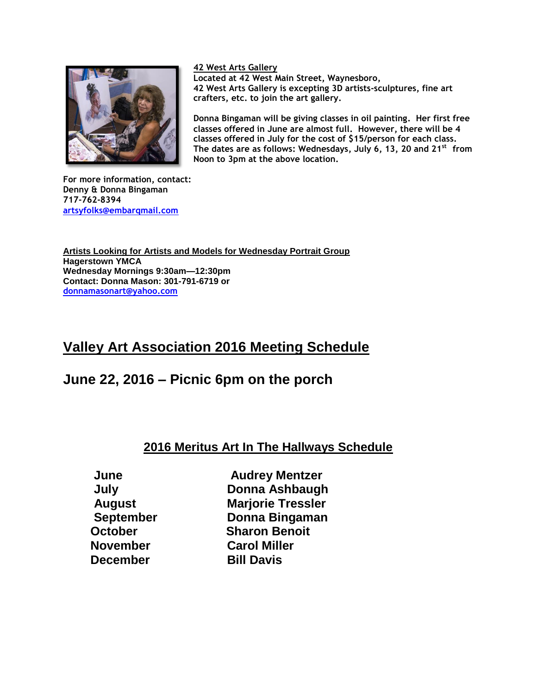

**42 West Arts Gallery** 

**Located at 42 West Main Street, Waynesboro, 42 West Arts Gallery is excepting 3D artists-sculptures, fine art crafters, etc. to join the art gallery.**

**Donna Bingaman will be giving classes in oil painting. Her first free classes offered in June are almost full. However, there will be 4 classes offered in July for the cost of \$15/person for each class. The dates are as follows: Wednesdays, July 6, 13, 20 and 21st from Noon to 3pm at the above location.**

**For more information, contact: Denny & Donna Bingaman 717-762-8394 [artsyfolks@embarqmail.com](mailto:artsyfolks@embarqmail.com)**

**Artists Looking for Artists and Models for Wednesday Portrait Group Hagerstown YMCA Wednesday Mornings 9:30am—12:30pm Contact: Donna Mason: 301-791-6719 or [donnamasonart@yahoo.com](mailto:donnamasonart@yahoo.com)**

# **Valley Art Association 2016 Meeting Schedule**

## **June 22, 2016 – Picnic 6pm on the porch**

## **2016 Meritus Art In The Hallways Schedule**

 **November Carol Miller December** Bill Davis

 **June Audrey Mentzer July Donna Ashbaugh August Marjorie Tressler September Donna Bingaman October Sharon Benoit**